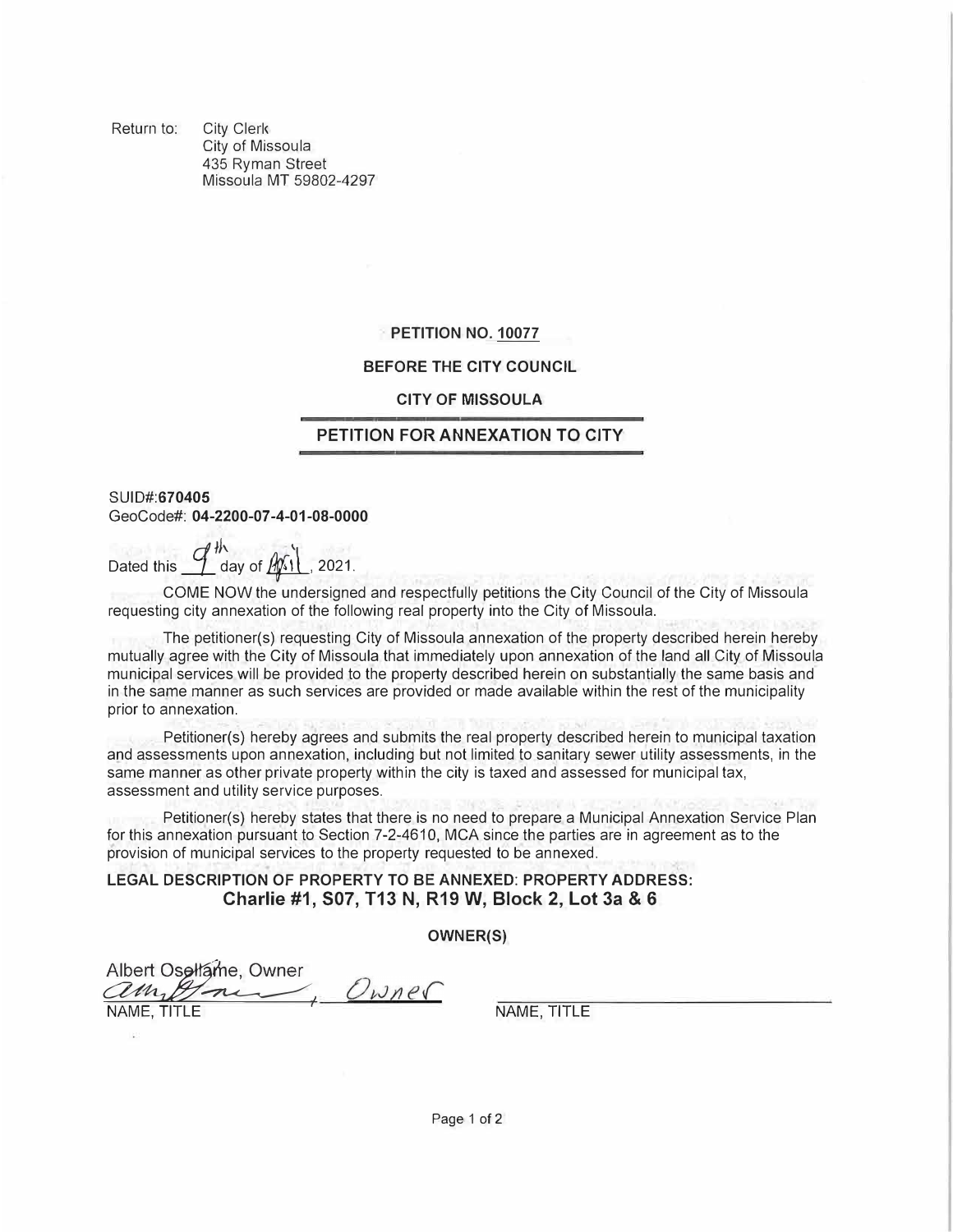Return to: City Clerk City of Missoula 435 Ryman Street Missoula MT 59802-4297

## **PETITION NO. 10077**

## **BEFORE THE CITY COUNCIL**

#### **CITY OF MISSOULA**

# **PETITION FOR ANNEXATION TO CITY**

**SUID#:670405**  GeoCode#: **04-2200-07-4-01-08-0000**

Dated this  $\mathcal{I}^{\#}$  day of  $\mathbb{A}$  1. 2021.

COME NOW the undersigned and respectfully petitions the City Council of the City of Missoula requesting city annexation of the following real property into the City of Missoula.

The petitioner(s) requesting City of Missoula annexation of the property described herein hereby mutually agree with the City of Missoula that immediately upon annexation of the land all City of Missoula municipal services will be provided to the property described herein on substantially the same basis and in the same manner as such services are provided or made available within the rest of the municipality prior to annexation.

Petitioner(s) hereby agrees and submits the real property described herein to municipal taxation and assessments upon annexation, including but not limited to sanitary sewer utility assessments, in the same manner as other private property within the city is taxed and assessed for municipal tax, assessment and utility service purposes.

Petitioner(s) hereby states that there is no need to prepare a Municipal Annexation Service Plan for this annexation pursuant to Section 7-2-4610, MCA since the parties are in agreement as to the provision of municipal services to the property requested to be annexed.

**LEGAL DESCRIPTION OF PROPERTY TO BE ANNEXED: PROPERTY ADDRESS: Charlie #1, 507, T13 N, R19 W, Block 2, Lot 3a & 6** 

**OWNER(S)** 

 $\frac{w}{x}$ Albert Osellame,  $\frac{1}{2}$ Owner **TOWAY PARALLE AND REAL CONTRACT IN THE NAME, TITLE**